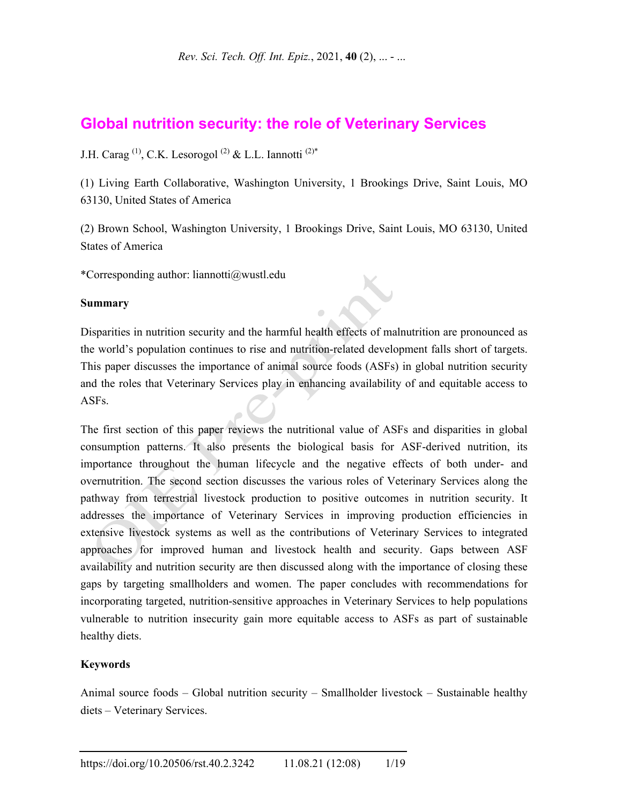## **Global nutrition security: the role of Veterinary Services**

J.H. Carag<sup>(1)</sup>, C.K. Lesorogol<sup>(2)</sup> & L.L. Iannotti<sup>(2)\*</sup>

(1) Living Earth Collaborative, Washington University, 1 Brookings Drive, Saint Louis, MO 63130, United States of America

(2) Brown School, Washington University, 1 Brookings Drive, Saint Louis, MO 63130, United States of America

\*Corresponding author: liannotti@wustl.edu

#### **Summary**

Disparities in nutrition security and the harmful health effects of malnutrition are pronounced as the world's population continues to rise and nutrition-related development falls short of targets. This paper discusses the importance of animal source foods (ASFs) in global nutrition security and the roles that Veterinary Services play in enhancing availability of and equitable access to ASFs.

The first section of this paper reviews the nutritional value of ASFs and disparities in global consumption patterns. It also presents the biological basis for ASF-derived nutrition, its importance throughout the human lifecycle and the negative effects of both under- and overnutrition. The second section discusses the various roles of Veterinary Services along the pathway from terrestrial livestock production to positive outcomes in nutrition security. It addresses the importance of Veterinary Services in improving production efficiencies in extensive livestock systems as well as the contributions of Veterinary Services to integrated approaches for improved human and livestock health and security. Gaps between ASF availability and nutrition security are then discussed along with the importance of closing these gaps by targeting smallholders and women. The paper concludes with recommendations for incorporating targeted, nutrition-sensitive approaches in Veterinary Services to help populations vulnerable to nutrition insecurity gain more equitable access to ASFs as part of sustainable healthy diets.

#### **Keywords**

Animal source foods – Global nutrition security – Smallholder livestock – Sustainable healthy diets – Veterinary Services.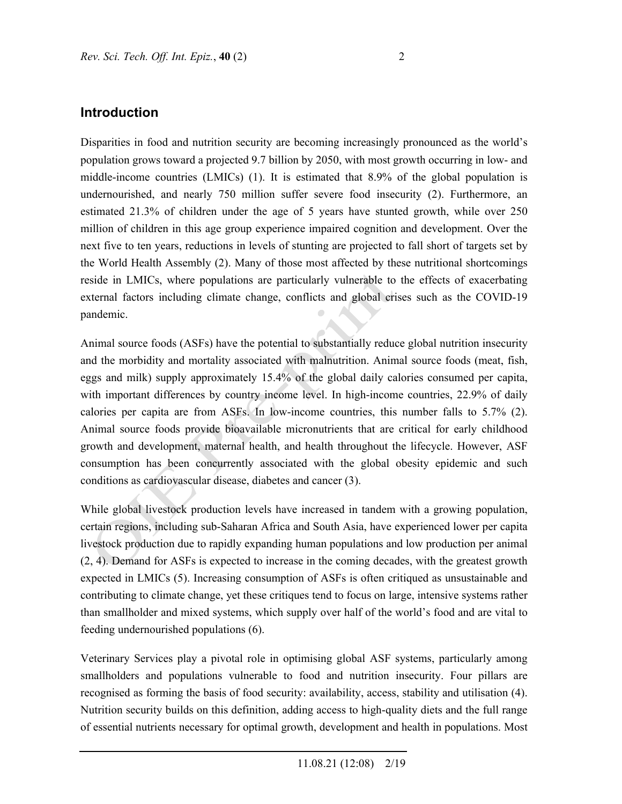Disparities in food and nutrition security are becoming increasingly pronounced as the world's population grows toward a projected 9.7 billion by 2050, with most growth occurring in low- and middle-income countries (LMICs) (1). It is estimated that 8.9% of the global population is undernourished, and nearly 750 million suffer severe food insecurity (2). Furthermore, an estimated 21.3% of children under the age of 5 years have stunted growth, while over 250 million of children in this age group experience impaired cognition and development. Over the next five to ten years, reductions in levels of stunting are projected to fall short of targets set by the World Health Assembly (2). Many of those most affected by these nutritional shortcomings reside in LMICs, where populations are particularly vulnerable to the effects of exacerbating external factors including climate change, conflicts and global crises such as the COVID-19 pandemic.

Animal source foods (ASFs) have the potential to substantially reduce global nutrition insecurity and the morbidity and mortality associated with malnutrition. Animal source foods (meat, fish, eggs and milk) supply approximately 15.4% of the global daily calories consumed per capita, with important differences by country income level. In high-income countries, 22.9% of daily calories per capita are from ASFs. In low-income countries, this number falls to 5.7% (2). Animal source foods provide bioavailable micronutrients that are critical for early childhood growth and development, maternal health, and health throughout the lifecycle. However, ASF consumption has been concurrently associated with the global obesity epidemic and such conditions as cardiovascular disease, diabetes and cancer (3).

While global livestock production levels have increased in tandem with a growing population, certain regions, including sub-Saharan Africa and South Asia, have experienced lower per capita livestock production due to rapidly expanding human populations and low production per animal (2, 4). Demand for ASFs is expected to increase in the coming decades, with the greatest growth expected in LMICs (5). Increasing consumption of ASFs is often critiqued as unsustainable and contributing to climate change, yet these critiques tend to focus on large, intensive systems rather than smallholder and mixed systems, which supply over half of the world's food and are vital to feeding undernourished populations (6).

Veterinary Services play a pivotal role in optimising global ASF systems, particularly among smallholders and populations vulnerable to food and nutrition insecurity. Four pillars are recognised as forming the basis of food security: availability, access, stability and utilisation (4). Nutrition security builds on this definition, adding access to high-quality diets and the full range of essential nutrients necessary for optimal growth, development and health in populations. Most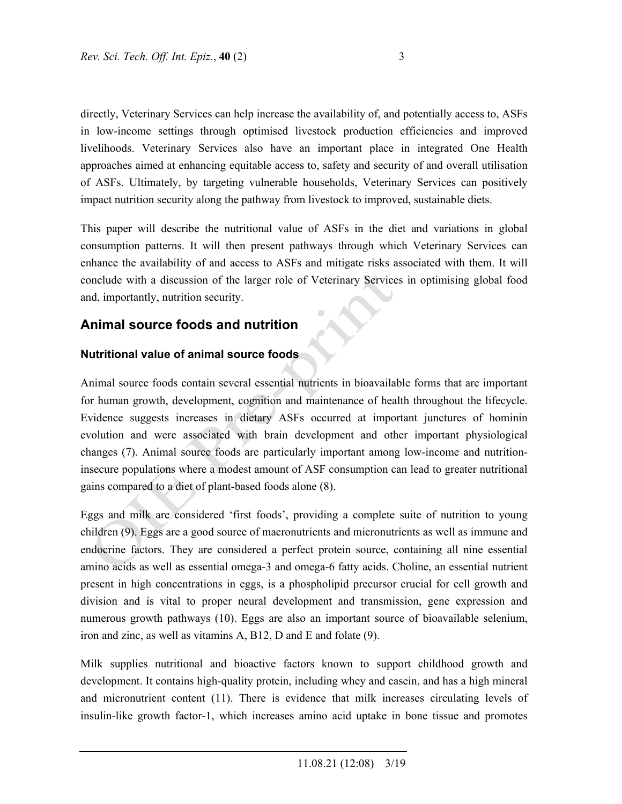directly, Veterinary Services can help increase the availability of, and potentially access to, ASFs in low-income settings through optimised livestock production efficiencies and improved livelihoods. Veterinary Services also have an important place in integrated One Health approaches aimed at enhancing equitable access to, safety and security of and overall utilisation of ASFs. Ultimately, by targeting vulnerable households, Veterinary Services can positively impact nutrition security along the pathway from livestock to improved, sustainable diets.

This paper will describe the nutritional value of ASFs in the diet and variations in global consumption patterns. It will then present pathways through which Veterinary Services can enhance the availability of and access to ASFs and mitigate risks associated with them. It will conclude with a discussion of the larger role of Veterinary Services in optimising global food and, importantly, nutrition security.

## **Animal source foods and nutrition**

#### **Nutritional value of animal source foods**

Animal source foods contain several essential nutrients in bioavailable forms that are important for human growth, development, cognition and maintenance of health throughout the lifecycle. Evidence suggests increases in dietary ASFs occurred at important junctures of hominin evolution and were associated with brain development and other important physiological changes (7). Animal source foods are particularly important among low-income and nutritioninsecure populations where a modest amount of ASF consumption can lead to greater nutritional gains compared to a diet of plant-based foods alone (8).

Eggs and milk are considered 'first foods', providing a complete suite of nutrition to young children (9). Eggs are a good source of macronutrients and micronutrients as well as immune and endocrine factors. They are considered a perfect protein source, containing all nine essential amino acids as well as essential omega-3 and omega-6 fatty acids. Choline, an essential nutrient present in high concentrations in eggs, is a phospholipid precursor crucial for cell growth and division and is vital to proper neural development and transmission, gene expression and numerous growth pathways (10). Eggs are also an important source of bioavailable selenium, iron and zinc, as well as vitamins A, B12, D and E and folate (9).

Milk supplies nutritional and bioactive factors known to support childhood growth and development. It contains high-quality protein, including whey and casein, and has a high mineral and micronutrient content (11). There is evidence that milk increases circulating levels of insulin-like growth factor-1, which increases amino acid uptake in bone tissue and promotes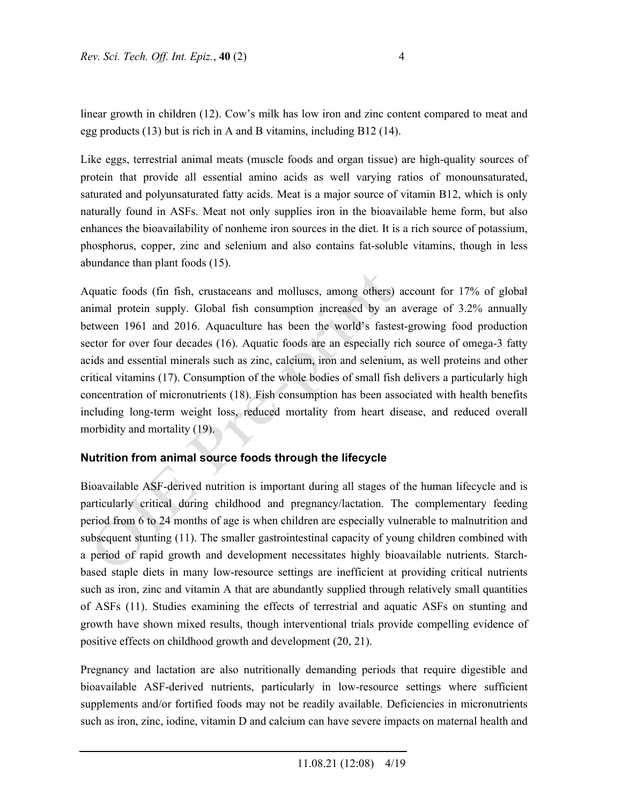linear growth in children (12). Cow's milk has low iron and zinc content compared to meat and egg products (13) but is rich in A and B vitamins, including B12 (14).

Like eggs, terrestrial animal meats (muscle foods and organ tissue) are high-quality sources of protein that provide all essential amino acids as well varying ratios of monounsaturated, saturated and polyunsaturated fatty acids. Meat is a major source of vitamin B12, which is only naturally found in ASFs. Meat not only supplies iron in the bioavailable heme form, but also enhances the bioavailability of nonheme iron sources in the diet. It is a rich source of potassium, phosphorus, copper, zinc and selenium and also contains fat-soluble vitamins, though in less abundance than plant foods (15).

Aquatic foods (fin fish, crustaceans and molluscs, among others) account for 17% of global animal protein supply. Global fish consumption increased by an average of 3.2% annually between 1961 and 2016. Aquaculture has been the world's fastest-growing food production sector for over four decades (16). Aquatic foods are an especially rich source of omega-3 fatty acids and essential minerals such as zinc, calcium, iron and selenium, as well proteins and other critical vitamins (17). Consumption of the whole bodies of small fish delivers a particularly high concentration of micronutrients (18). Fish consumption has been associated with health benefits including long-term weight loss, reduced mortality from heart disease, and reduced overall morbidity and mortality (19).

#### **Nutrition from animal source foods through the lifecycle**

Bioavailable ASF-derived nutrition is important during all stages of the human lifecycle and is particularly critical during childhood and pregnancy/lactation. The complementary feeding period from 6 to 24 months of age is when children are especially vulnerable to malnutrition and subsequent stunting (11). The smaller gastrointestinal capacity of young children combined with a period of rapid growth and development necessitates highly bioavailable nutrients. Starchbased staple diets in many low-resource settings are inefficient at providing critical nutrients such as iron, zinc and vitamin A that are abundantly supplied through relatively small quantities of ASFs (11). Studies examining the effects of terrestrial and aquatic ASFs on stunting and growth have shown mixed results, though interventional trials provide compelling evidence of positive effects on childhood growth and development (20, 21).

Pregnancy and lactation are also nutritionally demanding periods that require digestible and bioavailable ASF-derived nutrients, particularly in low-resource settings where sufficient supplements and/or fortified foods may not be readily available. Deficiencies in micronutrients such as iron, zinc, iodine, vitamin D and calcium can have severe impacts on maternal health and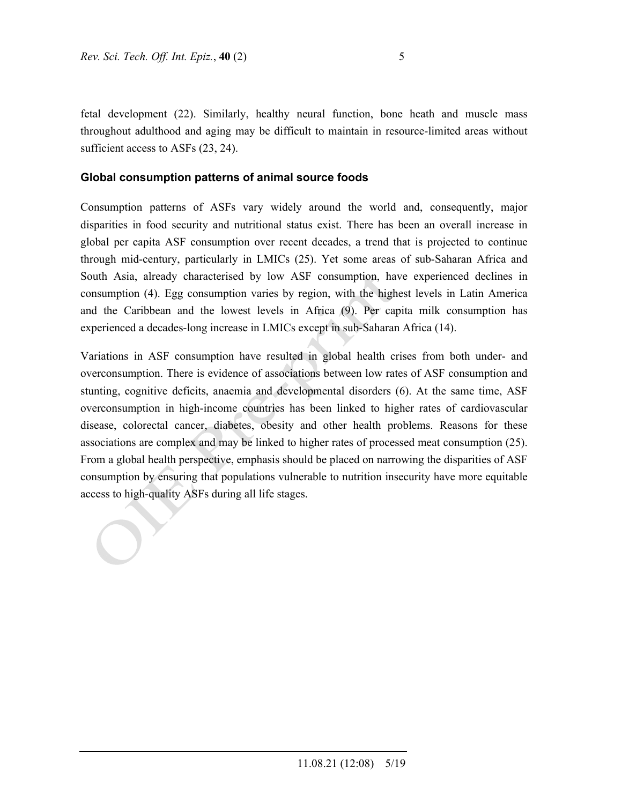fetal development (22). Similarly, healthy neural function, bone heath and muscle mass throughout adulthood and aging may be difficult to maintain in resource-limited areas without sufficient access to ASFs  $(23, 24)$ .

#### **Global consumption patterns of animal source foods**

Consumption patterns of ASFs vary widely around the world and, consequently, major disparities in food security and nutritional status exist. There has been an overall increase in global per capita ASF consumption over recent decades, a trend that is projected to continue through mid-century, particularly in LMICs (25). Yet some areas of sub-Saharan Africa and South Asia, already characterised by low ASF consumption, have experienced declines in consumption (4). Egg consumption varies by region, with the highest levels in Latin America and the Caribbean and the lowest levels in Africa (9). Per capita milk consumption has experienced a decades-long increase in LMICs except in sub-Saharan Africa (14).

Variations in ASF consumption have resulted in global health crises from both under- and overconsumption. There is evidence of associations between low rates of ASF consumption and stunting, cognitive deficits, anaemia and developmental disorders (6). At the same time, ASF overconsumption in high-income countries has been linked to higher rates of cardiovascular disease, colorectal cancer, diabetes, obesity and other health problems. Reasons for these associations are complex and may be linked to higher rates of processed meat consumption (25). From a global health perspective, emphasis should be placed on narrowing the disparities of ASF consumption by ensuring that populations vulnerable to nutrition insecurity have more equitable access to high-quality ASFs during all life stages.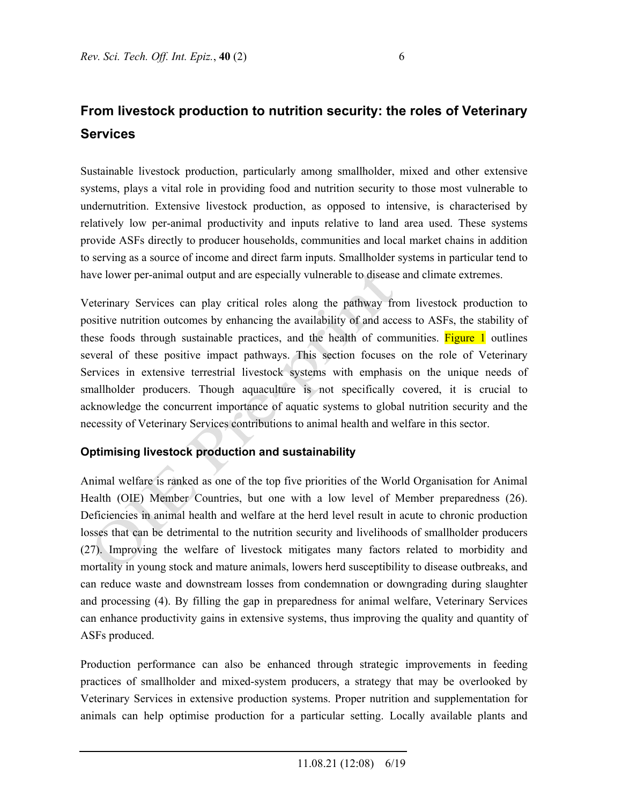# **From livestock production to nutrition security: the roles of Veterinary Services**

Sustainable livestock production, particularly among smallholder, mixed and other extensive systems, plays a vital role in providing food and nutrition security to those most vulnerable to undernutrition. Extensive livestock production, as opposed to intensive, is characterised by relatively low per-animal productivity and inputs relative to land area used. These systems provide ASFs directly to producer households, communities and local market chains in addition to serving as a source of income and direct farm inputs. Smallholder systems in particular tend to have lower per-animal output and are especially vulnerable to disease and climate extremes.

Veterinary Services can play critical roles along the pathway from livestock production to positive nutrition outcomes by enhancing the availability of and access to ASFs, the stability of these foods through sustainable practices, and the health of communities. Figure 1 outlines several of these positive impact pathways. This section focuses on the role of Veterinary Services in extensive terrestrial livestock systems with emphasis on the unique needs of smallholder producers. Though aquaculture is not specifically covered, it is crucial to acknowledge the concurrent importance of aquatic systems to global nutrition security and the necessity of Veterinary Services contributions to animal health and welfare in this sector.

### **Optimising livestock production and sustainability**

Animal welfare is ranked as one of the top five priorities of the World Organisation for Animal Health (OIE) Member Countries, but one with a low level of Member preparedness (26). Deficiencies in animal health and welfare at the herd level result in acute to chronic production losses that can be detrimental to the nutrition security and livelihoods of smallholder producers (27). Improving the welfare of livestock mitigates many factors related to morbidity and mortality in young stock and mature animals, lowers herd susceptibility to disease outbreaks, and can reduce waste and downstream losses from condemnation or downgrading during slaughter and processing (4). By filling the gap in preparedness for animal welfare, Veterinary Services can enhance productivity gains in extensive systems, thus improving the quality and quantity of ASFs produced.

Production performance can also be enhanced through strategic improvements in feeding practices of smallholder and mixed-system producers, a strategy that may be overlooked by Veterinary Services in extensive production systems. Proper nutrition and supplementation for animals can help optimise production for a particular setting. Locally available plants and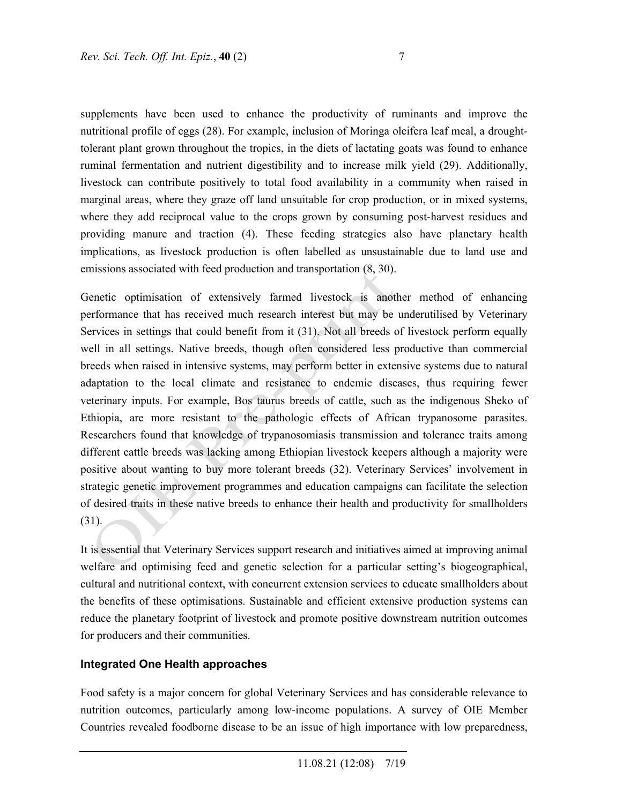supplements have been used to enhance the productivity of ruminants and improve the nutritional profile of eggs (28). For example, inclusion of Moringa oleifera leaf meal, a droughttolerant plant grown throughout the tropics, in the diets of lactating goats was found to enhance ruminal fermentation and nutrient digestibility and to increase milk yield (29). Additionally, livestock can contribute positively to total food availability in a community when raised in marginal areas, where they graze off land unsuitable for crop production, or in mixed systems, where they add reciprocal value to the crops grown by consuming post-harvest residues and providing manure and traction (4). These feeding strategies also have planetary health implications, as livestock production is often labelled as unsustainable due to land use and emissions associated with feed production and transportation (8, 30).

Genetic optimisation of extensively farmed livestock is another method of enhancing performance that has received much research interest but may be underutilised by Veterinary Services in settings that could benefit from it (31). Not all breeds of livestock perform equally well in all settings. Native breeds, though often considered less productive than commercial breeds when raised in intensive systems, may perform better in extensive systems due to natural adaptation to the local climate and resistance to endemic diseases, thus requiring fewer veterinary inputs. For example, Bos taurus breeds of cattle, such as the indigenous Sheko of Ethiopia, are more resistant to the pathologic effects of African trypanosome parasites. Researchers found that knowledge of trypanosomiasis transmission and tolerance traits among different cattle breeds was lacking among Ethiopian livestock keepers although a majority were positive about wanting to buy more tolerant breeds (32). Veterinary Services' involvement in strategic genetic improvement programmes and education campaigns can facilitate the selection of desired traits in these native breeds to enhance their health and productivity for smallholders (31).

It is essential that Veterinary Services support research and initiatives aimed at improving animal welfare and optimising feed and genetic selection for a particular setting's biogeographical, cultural and nutritional context, with concurrent extension services to educate smallholders about the benefits of these optimisations. Sustainable and efficient extensive production systems can reduce the planetary footprint of livestock and promote positive downstream nutrition outcomes for producers and their communities.

#### **Integrated One Health approaches**

Food safety is a major concern for global Veterinary Services and has considerable relevance to nutrition outcomes, particularly among low-income populations. A survey of OIE Member Countries revealed foodborne disease to be an issue of high importance with low preparedness,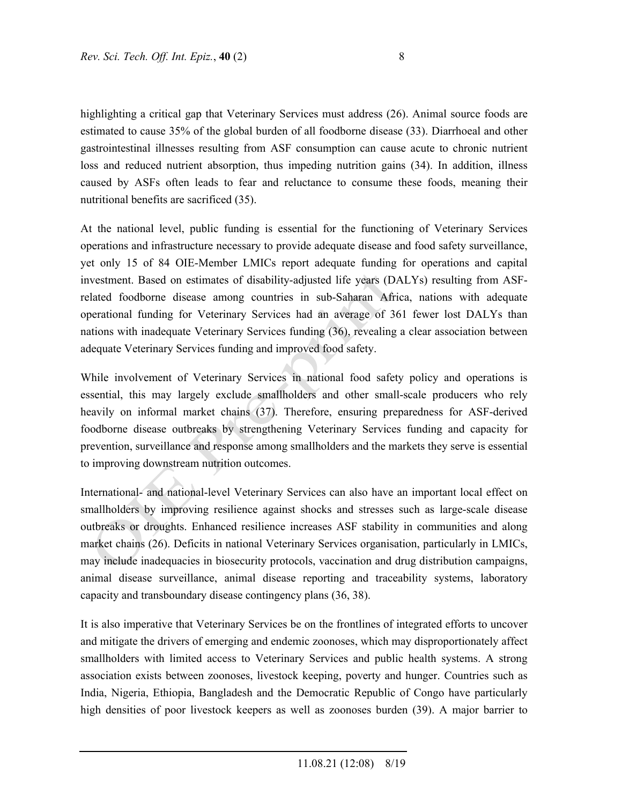highlighting a critical gap that Veterinary Services must address (26). Animal source foods are estimated to cause 35% of the global burden of all foodborne disease (33). Diarrhoeal and other gastrointestinal illnesses resulting from ASF consumption can cause acute to chronic nutrient loss and reduced nutrient absorption, thus impeding nutrition gains (34). In addition, illness caused by ASFs often leads to fear and reluctance to consume these foods, meaning their nutritional benefits are sacrificed (35).

At the national level, public funding is essential for the functioning of Veterinary Services operations and infrastructure necessary to provide adequate disease and food safety surveillance, yet only 15 of 84 OIE-Member LMICs report adequate funding for operations and capital investment. Based on estimates of disability-adjusted life years (DALYs) resulting from ASFrelated foodborne disease among countries in sub-Saharan Africa, nations with adequate operational funding for Veterinary Services had an average of 361 fewer lost DALYs than nations with inadequate Veterinary Services funding (36), revealing a clear association between adequate Veterinary Services funding and improved food safety.

While involvement of Veterinary Services in national food safety policy and operations is essential, this may largely exclude smallholders and other small-scale producers who rely heavily on informal market chains (37). Therefore, ensuring preparedness for ASF-derived foodborne disease outbreaks by strengthening Veterinary Services funding and capacity for prevention, surveillance and response among smallholders and the markets they serve is essential to improving downstream nutrition outcomes.

International- and national-level Veterinary Services can also have an important local effect on smallholders by improving resilience against shocks and stresses such as large-scale disease outbreaks or droughts. Enhanced resilience increases ASF stability in communities and along market chains (26). Deficits in national Veterinary Services organisation, particularly in LMICs, may include inadequacies in biosecurity protocols, vaccination and drug distribution campaigns, animal disease surveillance, animal disease reporting and traceability systems, laboratory capacity and transboundary disease contingency plans (36, 38).

It is also imperative that Veterinary Services be on the frontlines of integrated efforts to uncover and mitigate the drivers of emerging and endemic zoonoses, which may disproportionately affect smallholders with limited access to Veterinary Services and public health systems. A strong association exists between zoonoses, livestock keeping, poverty and hunger. Countries such as India, Nigeria, Ethiopia, Bangladesh and the Democratic Republic of Congo have particularly high densities of poor livestock keepers as well as zoonoses burden (39). A major barrier to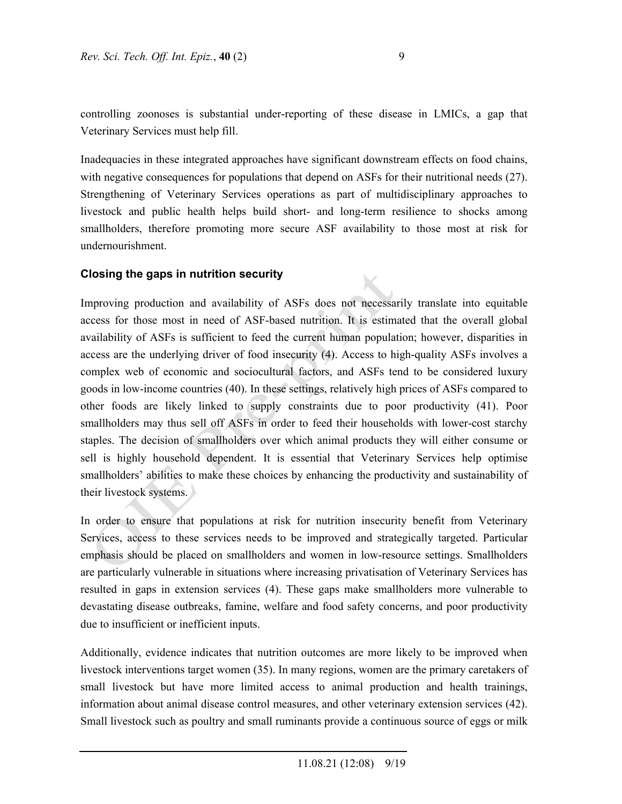controlling zoonoses is substantial under-reporting of these disease in LMICs, a gap that Veterinary Services must help fill.

Inadequacies in these integrated approaches have significant downstream effects on food chains, with negative consequences for populations that depend on ASFs for their nutritional needs (27). Strengthening of Veterinary Services operations as part of multidisciplinary approaches to livestock and public health helps build short- and long-term resilience to shocks among smallholders, therefore promoting more secure ASF availability to those most at risk for undernourishment.

#### **Closing the gaps in nutrition security**

Improving production and availability of ASFs does not necessarily translate into equitable access for those most in need of ASF-based nutrition. It is estimated that the overall global availability of ASFs is sufficient to feed the current human population; however, disparities in access are the underlying driver of food insecurity (4). Access to high-quality ASFs involves a complex web of economic and sociocultural factors, and ASFs tend to be considered luxury goods in low-income countries (40). In these settings, relatively high prices of ASFs compared to other foods are likely linked to supply constraints due to poor productivity (41). Poor smallholders may thus sell off ASFs in order to feed their households with lower-cost starchy staples. The decision of smallholders over which animal products they will either consume or sell is highly household dependent. It is essential that Veterinary Services help optimise smallholders' abilities to make these choices by enhancing the productivity and sustainability of their livestock systems.

In order to ensure that populations at risk for nutrition insecurity benefit from Veterinary Services, access to these services needs to be improved and strategically targeted. Particular emphasis should be placed on smallholders and women in low-resource settings. Smallholders are particularly vulnerable in situations where increasing privatisation of Veterinary Services has resulted in gaps in extension services (4). These gaps make smallholders more vulnerable to devastating disease outbreaks, famine, welfare and food safety concerns, and poor productivity due to insufficient or inefficient inputs.

Additionally, evidence indicates that nutrition outcomes are more likely to be improved when livestock interventions target women (35). In many regions, women are the primary caretakers of small livestock but have more limited access to animal production and health trainings, information about animal disease control measures, and other veterinary extension services (42). Small livestock such as poultry and small ruminants provide a continuous source of eggs or milk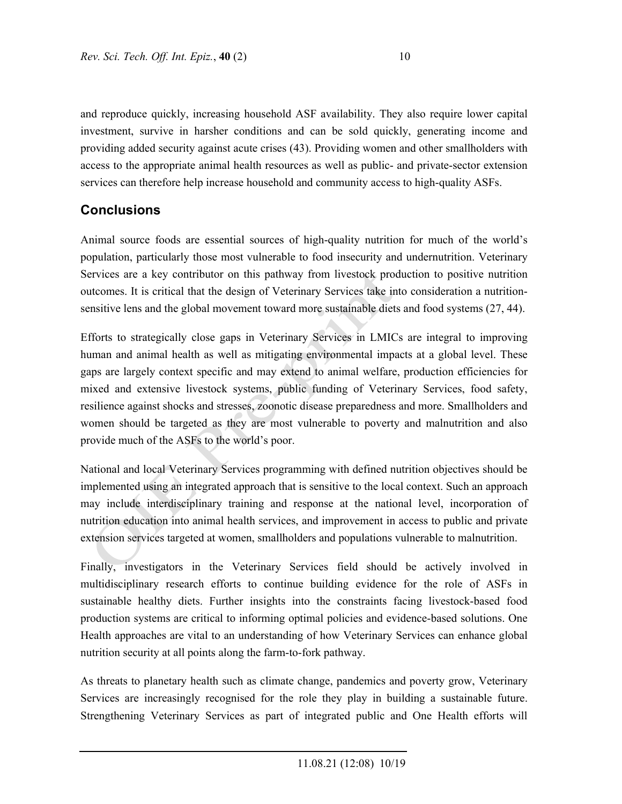and reproduce quickly, increasing household ASF availability. They also require lower capital investment, survive in harsher conditions and can be sold quickly, generating income and providing added security against acute crises (43). Providing women and other smallholders with access to the appropriate animal health resources as well as public- and private-sector extension services can therefore help increase household and community access to high-quality ASFs.

## **Conclusions**

Animal source foods are essential sources of high-quality nutrition for much of the world's population, particularly those most vulnerable to food insecurity and undernutrition. Veterinary Services are a key contributor on this pathway from livestock production to positive nutrition outcomes. It is critical that the design of Veterinary Services take into consideration a nutritionsensitive lens and the global movement toward more sustainable diets and food systems (27, 44).

Efforts to strategically close gaps in Veterinary Services in LMICs are integral to improving human and animal health as well as mitigating environmental impacts at a global level. These gaps are largely context specific and may extend to animal welfare, production efficiencies for mixed and extensive livestock systems, public funding of Veterinary Services, food safety, resilience against shocks and stresses, zoonotic disease preparedness and more. Smallholders and women should be targeted as they are most vulnerable to poverty and malnutrition and also provide much of the ASFs to the world's poor.

National and local Veterinary Services programming with defined nutrition objectives should be implemented using an integrated approach that is sensitive to the local context. Such an approach may include interdisciplinary training and response at the national level, incorporation of nutrition education into animal health services, and improvement in access to public and private extension services targeted at women, smallholders and populations vulnerable to malnutrition.

Finally, investigators in the Veterinary Services field should be actively involved in multidisciplinary research efforts to continue building evidence for the role of ASFs in sustainable healthy diets. Further insights into the constraints facing livestock-based food production systems are critical to informing optimal policies and evidence-based solutions. One Health approaches are vital to an understanding of how Veterinary Services can enhance global nutrition security at all points along the farm-to-fork pathway.

As threats to planetary health such as climate change, pandemics and poverty grow, Veterinary Services are increasingly recognised for the role they play in building a sustainable future. Strengthening Veterinary Services as part of integrated public and One Health efforts will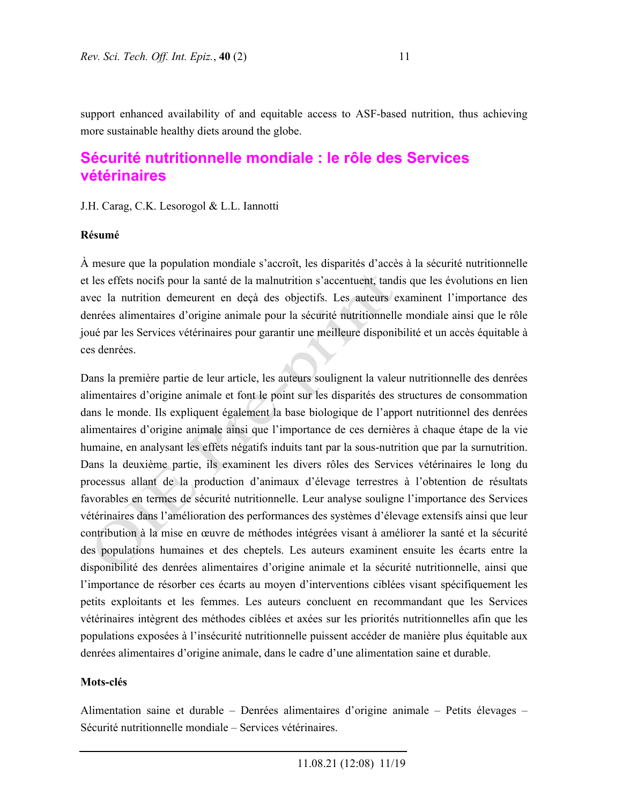support enhanced availability of and equitable access to ASF-based nutrition, thus achieving more sustainable healthy diets around the globe.

## **Sécurité nutritionnelle mondiale : le rôle des Services vétérinaires**

J.H. Carag, C.K. Lesorogol & L.L. Iannotti

#### **Résumé**

À mesure que la population mondiale s'accroît, les disparités d'accès à la sécurité nutritionnelle et les effets nocifs pour la santé de la malnutrition s'accentuent, tandis que les évolutions en lien avec la nutrition demeurent en deçà des objectifs. Les auteurs examinent l'importance des denrées alimentaires d'origine animale pour la sécurité nutritionnelle mondiale ainsi que le rôle joué par les Services vétérinaires pour garantir une meilleure disponibilité et un accès équitable à ces denrées.

Dans la première partie de leur article, les auteurs soulignent la valeur nutritionnelle des denrées alimentaires d'origine animale et font le point sur les disparités des structures de consommation dans le monde. Ils expliquent également la base biologique de l'apport nutritionnel des denrées alimentaires d'origine animale ainsi que l'importance de ces dernières à chaque étape de la vie humaine, en analysant les effets négatifs induits tant par la sous-nutrition que par la surnutrition. Dans la deuxième partie, ils examinent les divers rôles des Services vétérinaires le long du processus allant de la production d'animaux d'élevage terrestres à l'obtention de résultats favorables en termes de sécurité nutritionnelle. Leur analyse souligne l'importance des Services vétérinaires dans l'amélioration des performances des systèmes d'élevage extensifs ainsi que leur contribution à la mise en œuvre de méthodes intégrées visant à améliorer la santé et la sécurité des populations humaines et des cheptels. Les auteurs examinent ensuite les écarts entre la disponibilité des denrées alimentaires d'origine animale et la sécurité nutritionnelle, ainsi que l'importance de résorber ces écarts au moyen d'interventions ciblées visant spécifiquement les petits exploitants et les femmes. Les auteurs concluent en recommandant que les Services vétérinaires intègrent des méthodes ciblées et axées sur les priorités nutritionnelles afin que les populations exposées à l'insécurité nutritionnelle puissent accéder de manière plus équitable aux denrées alimentaires d'origine animale, dans le cadre d'une alimentation saine et durable.

#### **Mots-clés**

Alimentation saine et durable – Denrées alimentaires d'origine animale – Petits élevages – Sécurité nutritionnelle mondiale – Services vétérinaires.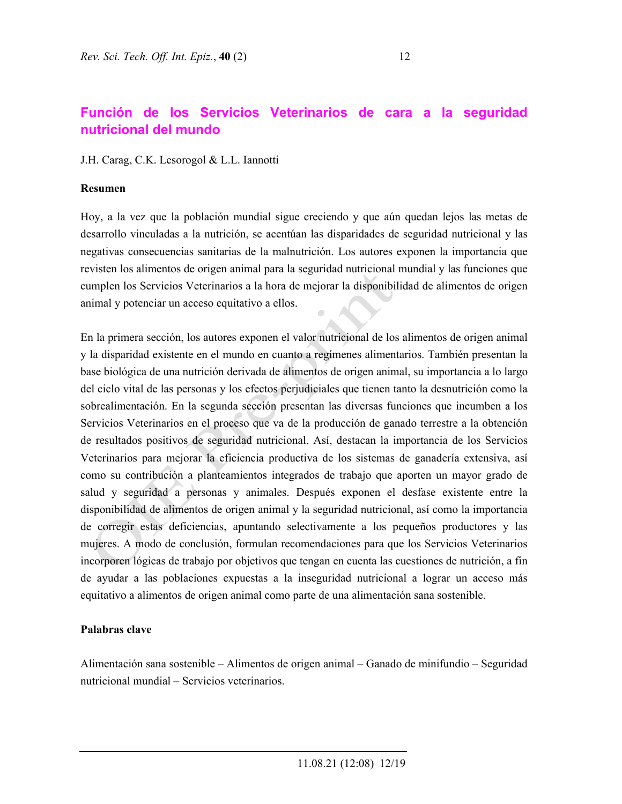## **Función de los Servicios Veterinarios de cara a la seguridad nutricional del mundo**

J.H. Carag, C.K. Lesorogol & L.L. Iannotti

#### **Resumen**

Hoy, a la vez que la población mundial sigue creciendo y que aún quedan lejos las metas de desarrollo vinculadas a la nutrición, se acentúan las disparidades de seguridad nutricional y las negativas consecuencias sanitarias de la malnutrición. Los autores exponen la importancia que revisten los alimentos de origen animal para la seguridad nutricional mundial y las funciones que cumplen los Servicios Veterinarios a la hora de mejorar la disponibilidad de alimentos de origen animal y potenciar un acceso equitativo a ellos.

En la primera sección, los autores exponen el valor nutricional de los alimentos de origen animal y la disparidad existente en el mundo en cuanto a regímenes alimentarios. También presentan la base biológica de una nutrición derivada de alimentos de origen animal, su importancia a lo largo del ciclo vital de las personas y los efectos perjudiciales que tienen tanto la desnutrición como la sobrealimentación. En la segunda sección presentan las diversas funciones que incumben a los Servicios Veterinarios en el proceso que va de la producción de ganado terrestre a la obtención de resultados positivos de seguridad nutricional. Así, destacan la importancia de los Servicios Veterinarios para mejorar la eficiencia productiva de los sistemas de ganadería extensiva, así como su contribución a planteamientos integrados de trabajo que aporten un mayor grado de salud y seguridad a personas y animales. Después exponen el desfase existente entre la disponibilidad de alimentos de origen animal y la seguridad nutricional, así como la importancia de corregir estas deficiencias, apuntando selectivamente a los pequeños productores y las mujeres. A modo de conclusión, formulan recomendaciones para que los Servicios Veterinarios incorporen lógicas de trabajo por objetivos que tengan en cuenta las cuestiones de nutrición, a fin de ayudar a las poblaciones expuestas a la inseguridad nutricional a lograr un acceso más equitativo a alimentos de origen animal como parte de una alimentación sana sostenible.

#### **Palabras clave**

Alimentación sana sostenible – Alimentos de origen animal – Ganado de minifundio – Seguridad nutricional mundial – Servicios veterinarios.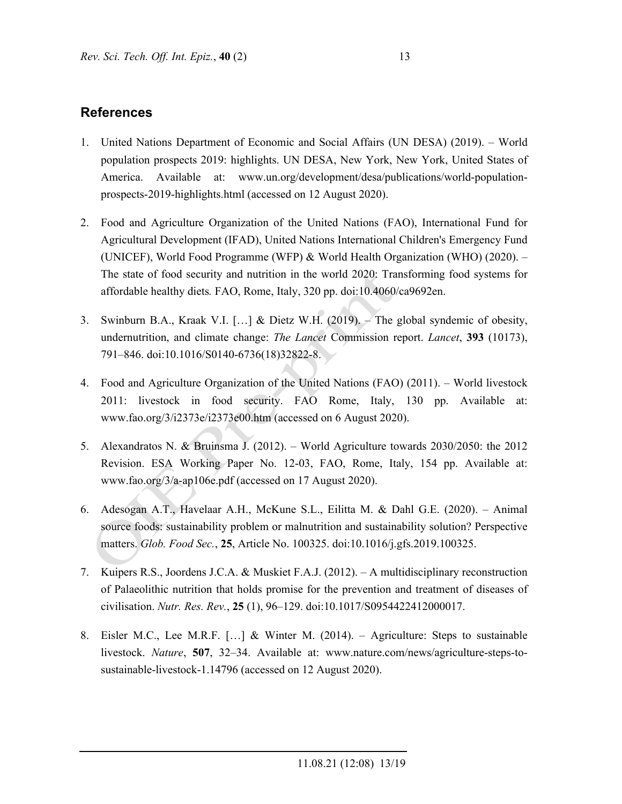## **References**

- 1. United Nations Department of Economic and Social Affairs (UN DESA) (2019). World population prospects 2019: highlights. UN DESA, New York, New York, United States of America. Available at: www.un.org/development/desa/publications/world-populationprospects-2019-highlights.html (accessed on 12 August 2020).
- 2. Food and Agriculture Organization of the United Nations (FAO), International Fund for Agricultural Development (IFAD), United Nations International Children's Emergency Fund (UNICEF), World Food Programme (WFP) & World Health Organization (WHO) (2020). – The state of food security and nutrition in the world 2020: Transforming food systems for affordable healthy diets*.* FAO, Rome, Italy, 320 pp. doi:10.4060/ca9692en.
- 3. Swinburn B.A., Kraak V.I. […] & Dietz W.H. (2019). The global syndemic of obesity, undernutrition, and climate change: *The Lancet* Commission report. *Lancet*, **393** (10173), 791–846. doi:10.1016/S0140-6736(18)32822-8.
- 4. Food and Agriculture Organization of the United Nations (FAO) (2011). World livestock 2011: livestock in food security. FAO Rome, Italy, 130 pp. Available at: www.fao.org/3/i2373e/i2373e00.htm (accessed on 6 August 2020).
- 5. Alexandratos N. & Bruinsma J. (2012). World Agriculture towards 2030/2050: the 2012 Revision. ESA Working Paper No. 12-03, FAO, Rome, Italy, 154 pp. Available at: www.fao.org/3/a-ap106e.pdf (accessed on 17 August 2020).
- 6. Adesogan A.T., Havelaar A.H., McKune S.L., Eilitta M. & Dahl G.E. (2020). Animal source foods: sustainability problem or malnutrition and sustainability solution? Perspective matters. *Glob. Food Sec.*, **25**, Article No. 100325. doi:10.1016/j.gfs.2019.100325.
- 7. Kuipers R.S., Joordens J.C.A. & Muskiet F.A.J. (2012). A multidisciplinary reconstruction of Palaeolithic nutrition that holds promise for the prevention and treatment of diseases of civilisation. *Nutr. Res. Rev.*, **25** (1), 96–129. doi:10.1017/S0954422412000017.
- 8. Eisler M.C., Lee M.R.F. […] & Winter M. (2014). Agriculture: Steps to sustainable livestock. *Nature*, **507**, 32–34. Available at: www.nature.com/news/agriculture-steps-tosustainable-livestock-1.14796 (accessed on 12 August 2020).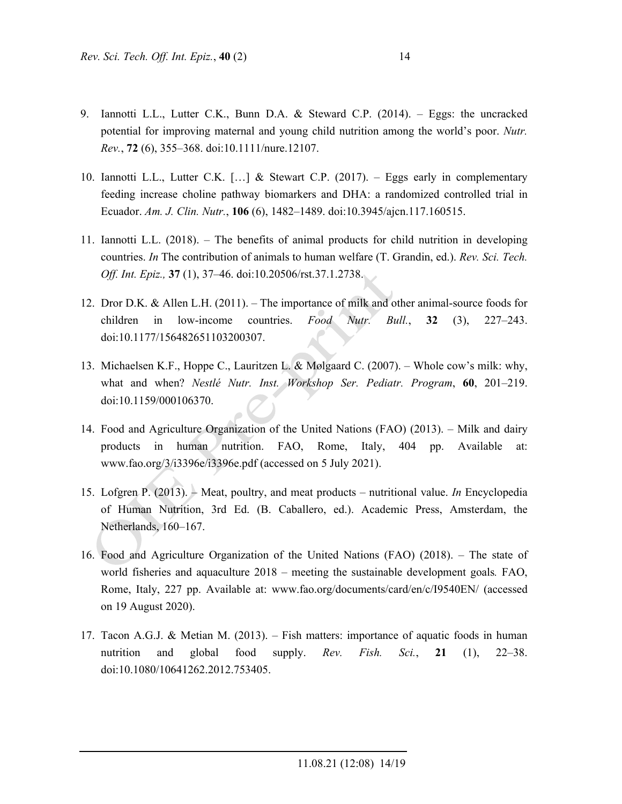- 9. Iannotti L.L., Lutter C.K., Bunn D.A. & Steward C.P. (2014). Eggs: the uncracked potential for improving maternal and young child nutrition among the world's poor. *Nutr. Rev.*, **72** (6), 355–368. doi:10.1111/nure.12107.
- 10. Iannotti L.L., Lutter C.K.  $[\,\ldots]$  & Stewart C.P. (2017). Eggs early in complementary feeding increase choline pathway biomarkers and DHA: a randomized controlled trial in Ecuador. *Am. J. Clin. Nutr.*, **106** (6), 1482–1489. doi:10.3945/ajcn.117.160515.
- 11. Iannotti L.L. (2018). The benefits of animal products for child nutrition in developing countries. *In* The contribution of animals to human welfare (T. Grandin, ed.). *Rev. Sci. Tech. Off. Int. Epiz.,* **37** (1), 37–46. doi:10.20506/rst.37.1.2738.
- 12. Dror D.K. & Allen L.H. (2011). The importance of milk and other animal-source foods for children in low-income countries. *Food Nutr. Bull.*, **32** (3), 227–243. doi:10.1177/156482651103200307.
- 13. Michaelsen K.F., Hoppe C., Lauritzen L. & Mølgaard C. (2007). Whole cow's milk: why, what and when? *Nestlé Nutr. Inst. Workshop Ser. Pediatr. Program*, **60**, 201–219. doi:10.1159/000106370.
- 14. Food and Agriculture Organization of the United Nations (FAO) (2013). Milk and dairy products in human nutrition. FAO, Rome, Italy, 404 pp. Available at: www.fao.org/3/i3396e/i3396e.pdf (accessed on 5 July 2021).
- 15. Lofgren P. (2013). Meat, poultry, and meat products nutritional value. *In* Encyclopedia of Human Nutrition, 3rd Ed. (B. Caballero, ed.). Academic Press, Amsterdam, the Netherlands, 160–167.
- 16. Food and Agriculture Organization of the United Nations (FAO) (2018). The state of world fisheries and aquaculture 2018 – meeting the sustainable development goals*.* FAO, Rome, Italy, 227 pp. Available at: www.fao.org/documents/card/en/c/I9540EN/ (accessed on 19 August 2020).
- 17. Tacon A.G.J. & Metian M. (2013). Fish matters: importance of aquatic foods in human nutrition and global food supply. *Rev. Fish. Sci.*, **21** (1), 22–38. doi:10.1080/10641262.2012.753405.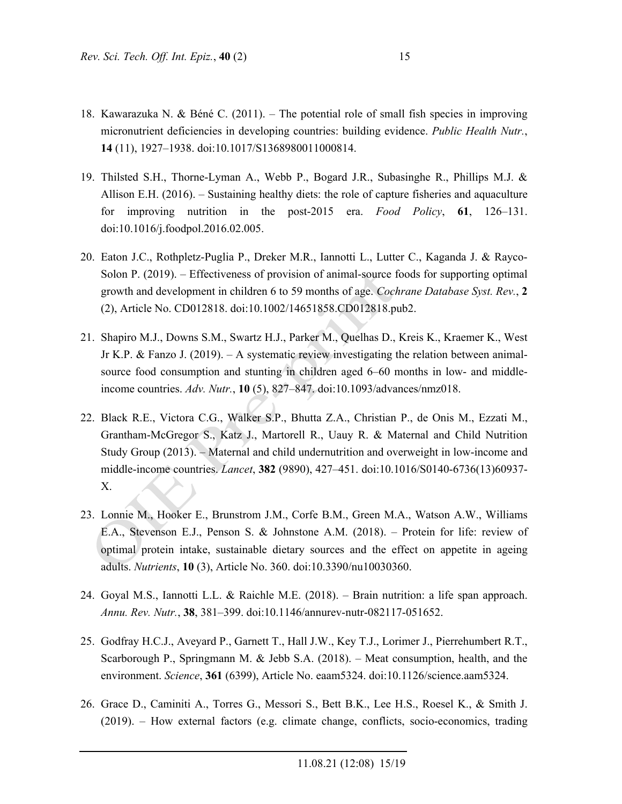- 18. Kawarazuka N. & Béné C. (2011). The potential role of small fish species in improving micronutrient deficiencies in developing countries: building evidence. *Public Health Nutr.*, **14** (11), 1927–1938. doi:10.1017/S1368980011000814.
- 19. Thilsted S.H., Thorne-Lyman A., Webb P., Bogard J.R., Subasinghe R., Phillips M.J. & Allison E.H. (2016). – Sustaining healthy diets: the role of capture fisheries and aquaculture for improving nutrition in the post-2015 era. *Food Policy*, **61**, 126–131. doi:10.1016/j.foodpol.2016.02.005.
- 20. Eaton J.C., Rothpletz-Puglia P., Dreker M.R., Iannotti L., Lutter C., Kaganda J. & Rayco-Solon P. (2019). – Effectiveness of provision of animal-source foods for supporting optimal growth and development in children 6 to 59 months of age. *Cochrane Database Syst. Rev.*, **2** (2), Article No. CD012818. doi:10.1002/14651858.CD012818.pub2.
- 21. Shapiro M.J., Downs S.M., Swartz H.J., Parker M., Quelhas D., Kreis K., Kraemer K., West Jr K.P. & Fanzo J. (2019). – A systematic review investigating the relation between animalsource food consumption and stunting in children aged 6–60 months in low- and middleincome countries. *Adv. Nutr.*, **10** (5), 827–847. doi:10.1093/advances/nmz018.
- 22. Black R.E., Victora C.G., Walker S.P., Bhutta Z.A., Christian P., de Onis M., Ezzati M., Grantham-McGregor S., Katz J., Martorell R., Uauy R. & Maternal and Child Nutrition Study Group (2013). – Maternal and child undernutrition and overweight in low-income and middle-income countries. *Lancet*, **382** (9890), 427–451. doi:10.1016/S0140-6736(13)60937- X.
- 23. Lonnie M., Hooker E., Brunstrom J.M., Corfe B.M., Green M.A., Watson A.W., Williams E.A., Stevenson E.J., Penson S. & Johnstone A.M. (2018). – Protein for life: review of optimal protein intake, sustainable dietary sources and the effect on appetite in ageing adults. *Nutrients*, **10** (3), Article No. 360. doi:10.3390/nu10030360.
- 24. Goyal M.S., Iannotti L.L. & Raichle M.E. (2018). Brain nutrition: a life span approach. *Annu. Rev. Nutr.*, **38**, 381–399. doi:10.1146/annurev-nutr-082117-051652.
- 25. Godfray H.C.J., Aveyard P., Garnett T., Hall J.W., Key T.J., Lorimer J., Pierrehumbert R.T., Scarborough P., Springmann M. & Jebb S.A. (2018). – Meat consumption, health, and the environment. *Science*, **361** (6399), Article No. eaam5324. doi:10.1126/science.aam5324.
- 26. Grace D., Caminiti A., Torres G., Messori S., Bett B.K., Lee H.S., Roesel K., & Smith J. (2019). – How external factors (e.g. climate change, conflicts, socio-economics, trading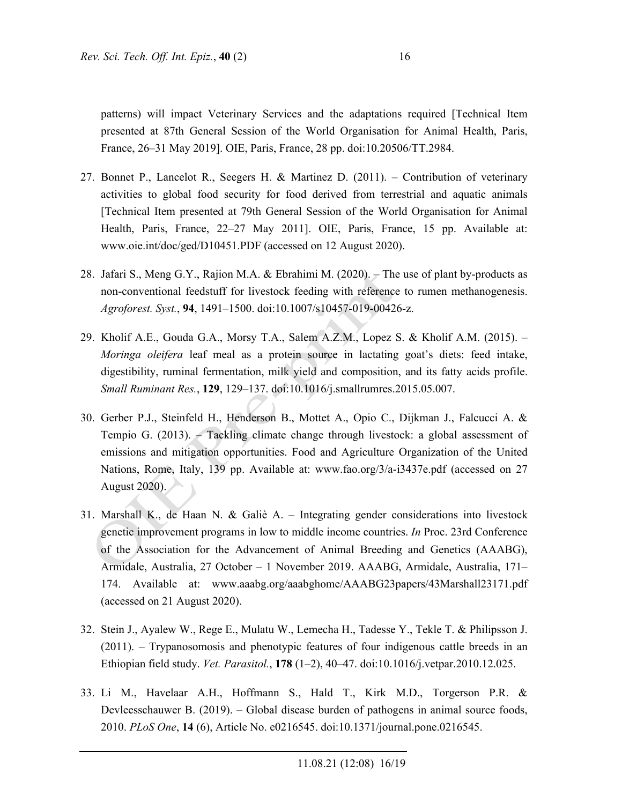patterns) will impact Veterinary Services and the adaptations required [Technical Item presented at 87th General Session of the World Organisation for Animal Health, Paris, France, 26–31 May 2019]. OIE, Paris, France, 28 pp. doi:10.20506/TT.2984.

- 27. Bonnet P., Lancelot R., Seegers H. & Martinez D. (2011). Contribution of veterinary activities to global food security for food derived from terrestrial and aquatic animals [Technical Item presented at 79th General Session of the World Organisation for Animal Health, Paris, France, 22–27 May 2011]. OIE, Paris, France, 15 pp. Available at: www.oie.int/doc/ged/D10451.PDF (accessed on 12 August 2020).
- 28. Jafari S., Meng G.Y., Rajion M.A. & Ebrahimi M. (2020). The use of plant by-products as non-conventional feedstuff for livestock feeding with reference to rumen methanogenesis. *Agroforest. Syst.*, **94**, 1491–1500. doi:10.1007/s10457-019-00426-z.
- 29. Kholif A.E., Gouda G.A., Morsy T.A., Salem A.Z.M., Lopez S. & Kholif A.M. (2015). *Moringa oleifera* leaf meal as a protein source in lactating goat's diets: feed intake, digestibility, ruminal fermentation, milk yield and composition, and its fatty acids profile. *Small Ruminant Res.*, **129**, 129–137. doi:10.1016/j.smallrumres.2015.05.007.
- 30. Gerber P.J., Steinfeld H., Henderson B., Mottet A., Opio C., Dijkman J., Falcucci A. & Tempio G. (2013). – Tackling climate change through livestock: a global assessment of emissions and mitigation opportunities. Food and Agriculture Organization of the United Nations, Rome, Italy, 139 pp. Available at: www.fao.org/3/a-i3437e.pdf (accessed on 27 August 2020).
- 31. Marshall K., de Haan N. & Galiè A. Integrating gender considerations into livestock genetic improvement programs in low to middle income countries. *In* Proc. 23rd Conference of the Association for the Advancement of Animal Breeding and Genetics (AAABG), Armidale, Australia, 27 October – 1 November 2019. AAABG, Armidale, Australia, 171– 174. Available at: www.aaabg.org/aaabghome/AAABG23papers/43Marshall23171.pdf (accessed on 21 August 2020).
- 32. Stein J., Ayalew W., Rege E., Mulatu W., Lemecha H., Tadesse Y., Tekle T. & Philipsson J. (2011). – Trypanosomosis and phenotypic features of four indigenous cattle breeds in an Ethiopian field study. *Vet. Parasitol.*, **178** (1–2), 40–47. doi:10.1016/j.vetpar.2010.12.025.
- 33. Li M., Havelaar A.H., Hoffmann S., Hald T., Kirk M.D., Torgerson P.R. & Devleesschauwer B. (2019). – Global disease burden of pathogens in animal source foods, 2010. *PLoS One*, **14** (6), Article No. e0216545. doi:10.1371/journal.pone.0216545.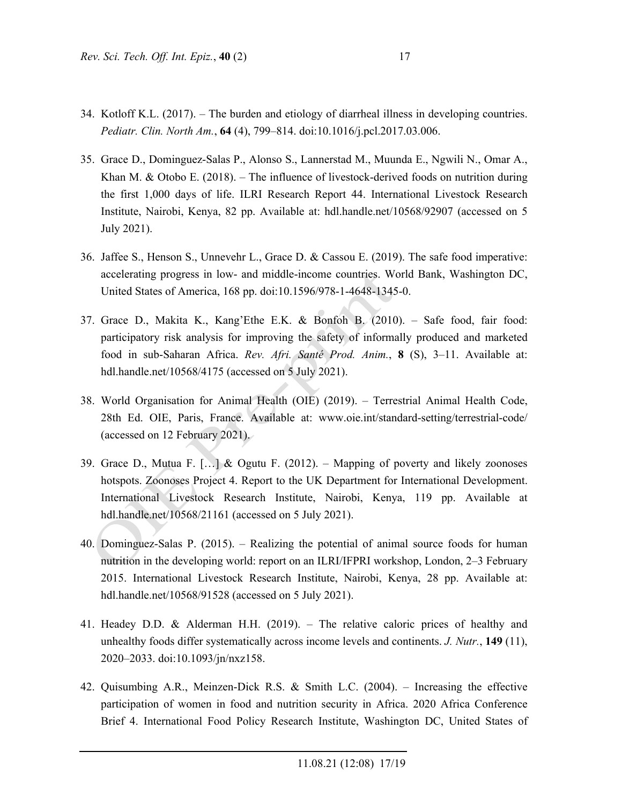- 34. Kotloff K.L. (2017). The burden and etiology of diarrheal illness in developing countries. *Pediatr. Clin. North Am.*, **64** (4), 799–814. doi:10.1016/j.pcl.2017.03.006.
- 35. Grace D., Dominguez-Salas P., Alonso S., Lannerstad M., Muunda E., Ngwili N., Omar A., Khan M. & Otobo E. (2018). – The influence of livestock-derived foods on nutrition during the first 1,000 days of life. ILRI Research Report 44. International Livestock Research Institute, Nairobi, Kenya, 82 pp. Available at: hdl.handle.net/10568/92907 (accessed on 5 July 2021).
- 36. Jaffee S., Henson S., Unnevehr L., Grace D. & Cassou E. (2019). The safe food imperative: accelerating progress in low- and middle-income countries. World Bank, Washington DC, United States of America, 168 pp. doi:10.1596/978-1-4648-1345-0.
- 37. Grace D., Makita K., Kang'Ethe E.K. & Bonfoh B. (2010). Safe food, fair food: participatory risk analysis for improving the safety of informally produced and marketed food in sub-Saharan Africa. *Rev. Afri. Santé Prod. Anim.*, **8** (S), 3–11. Available at: hdl.handle.net/10568/4175 (accessed on 5 July 2021).
- 38. World Organisation for Animal Health (OIE) (2019). Terrestrial Animal Health Code, 28th Ed. OIE, Paris, France. Available at: www.oie.int/standard-setting/terrestrial-code/ (accessed on 12 February 2021).
- 39. Grace D., Mutua F. […] & Ogutu F. (2012). Mapping of poverty and likely zoonoses hotspots. Zoonoses Project 4. Report to the UK Department for International Development. International Livestock Research Institute, Nairobi, Kenya, 119 pp. Available at hdl.handle.net/10568/21161 (accessed on 5 July 2021).
- 40. Dominguez-Salas P. (2015). Realizing the potential of animal source foods for human nutrition in the developing world: report on an ILRI/IFPRI workshop, London, 2–3 February 2015. International Livestock Research Institute, Nairobi, Kenya, 28 pp. Available at: hdl.handle.net/10568/91528 (accessed on 5 July 2021).
- 41. Headey D.D. & Alderman H.H. (2019). The relative caloric prices of healthy and unhealthy foods differ systematically across income levels and continents. *J. Nutr.*, **149** (11), 2020–2033. doi:10.1093/jn/nxz158.
- 42. Quisumbing A.R., Meinzen-Dick R.S. & Smith L.C. (2004). Increasing the effective participation of women in food and nutrition security in Africa. 2020 Africa Conference Brief 4. International Food Policy Research Institute, Washington DC, United States of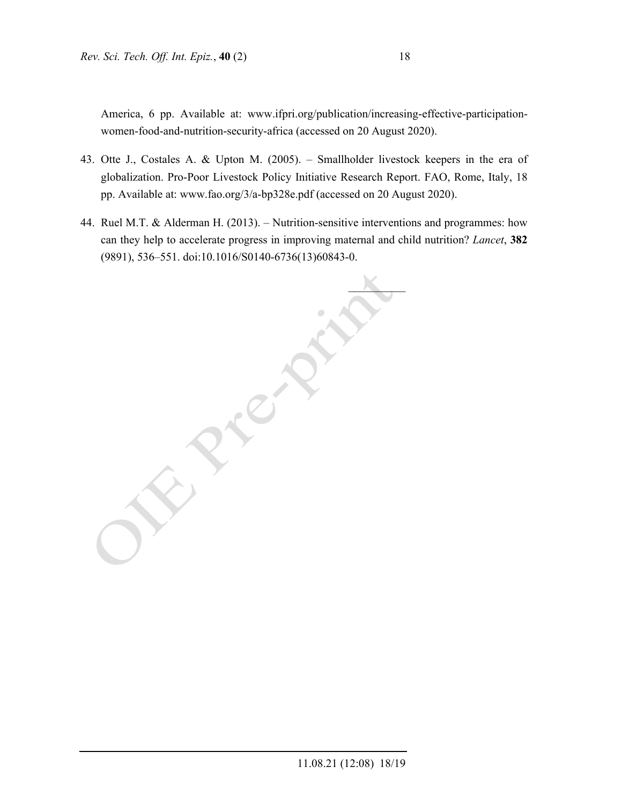America, 6 pp. Available at: www.ifpri.org/publication/increasing-effective-participationwomen-food-and-nutrition-security-africa (accessed on 20 August 2020).

- 43. Otte J., Costales A. & Upton M. (2005). Smallholder livestock keepers in the era of globalization. Pro-Poor Livestock Policy Initiative Research Report. FAO, Rome, Italy, 18 pp. Available at: www.fao.org/3/a-bp328e.pdf (accessed on 20 August 2020).
- 44. Ruel M.T. & Alderman H. (2013). Nutrition-sensitive interventions and programmes: how can they help to accelerate progress in improving maternal and child nutrition? *Lancet*, **382** (9891), 536–551. doi:10.1016/S0140-6736(13)60843-0.

 $\mathcal{L}$  $\mathcal{C}$